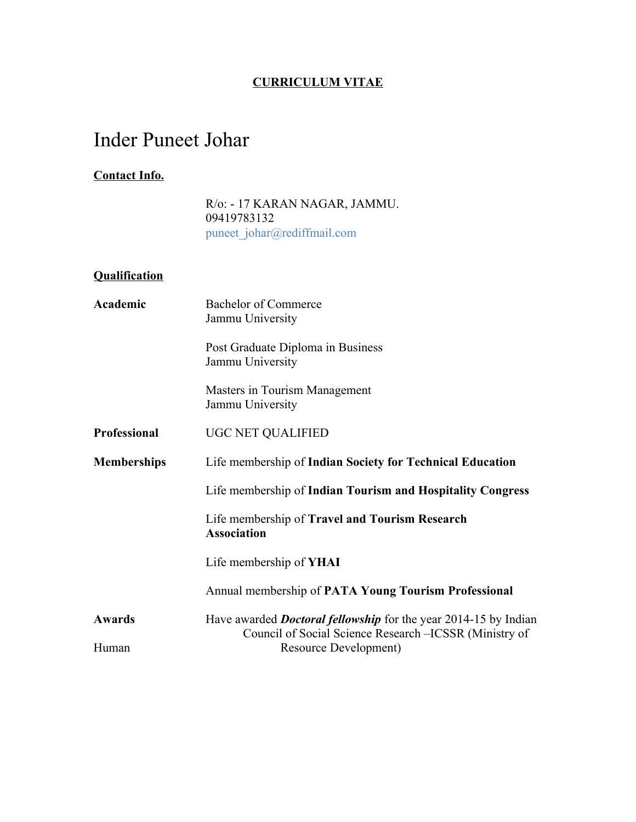### **CURRICULUM VITAE**

# Inder Puneet Johar

### **Contact Info.**

R/o: - 17 KARAN NAGAR, JAMMU. 09419783132 puneet\_johar@rediffmail.com

#### **Qualification**

| Academic            | <b>Bachelor of Commerce</b><br>Jammu University                                                                                   |
|---------------------|-----------------------------------------------------------------------------------------------------------------------------------|
|                     | Post Graduate Diploma in Business<br>Jammu University                                                                             |
|                     | Masters in Tourism Management<br>Jammu University                                                                                 |
| <b>Professional</b> | <b>UGC NET QUALIFIED</b>                                                                                                          |
| <b>Memberships</b>  | Life membership of Indian Society for Technical Education                                                                         |
|                     | Life membership of Indian Tourism and Hospitality Congress                                                                        |
|                     | Life membership of Travel and Tourism Research<br><b>Association</b>                                                              |
|                     | Life membership of <b>YHAI</b>                                                                                                    |
|                     | Annual membership of PATA Young Tourism Professional                                                                              |
| <b>Awards</b>       | Have awarded <i>Doctoral fellowship</i> for the year 2014-15 by Indian<br>Council of Social Science Research – ICSSR (Ministry of |
| Human               | Resource Development)                                                                                                             |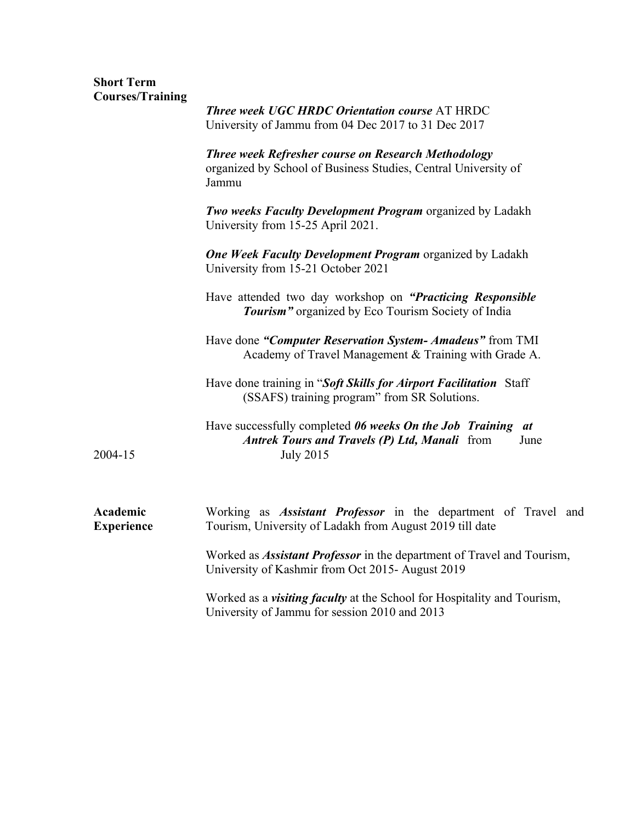## **Short Term Courses/Training**

|                               | <b>Three week UGC HRDC Orientation course AT HRDC</b><br>University of Jammu from 04 Dec 2017 to 31 Dec 2017                                    |
|-------------------------------|-------------------------------------------------------------------------------------------------------------------------------------------------|
|                               | <b>Three week Refresher course on Research Methodology</b><br>organized by School of Business Studies, Central University of<br>Jammu           |
|                               | <b>Two weeks Faculty Development Program</b> organized by Ladakh<br>University from 15-25 April 2021.                                           |
|                               | <b>One Week Faculty Development Program</b> organized by Ladakh<br>University from 15-21 October 2021                                           |
|                               | Have attended two day workshop on "Practicing Responsible"<br>Tourism" organized by Eco Tourism Society of India                                |
|                               | Have done "Computer Reservation System- Amadeus" from TMI<br>Academy of Travel Management & Training with Grade A.                              |
|                               | Have done training in "Soft Skills for Airport Facilitation Staff<br>(SSAFS) training program" from SR Solutions.                               |
| 2004-15                       | Have successfully completed 06 weeks On the Job Training at<br><b>Antrek Tours and Travels (P) Ltd, Manali</b> from<br>June<br><b>July 2015</b> |
| Academic<br><b>Experience</b> | Working as <i>Assistant Professor</i> in the department of Travel and<br>Tourism, University of Ladakh from August 2019 till date               |
|                               | Worked as <i>Assistant Professor</i> in the department of Travel and Tourism,<br>University of Kashmir from Oct 2015- August 2019               |
|                               | Worked as a <i>visiting faculty</i> at the School for Hospitality and Tourism,<br>University of Jammu for session 2010 and 2013                 |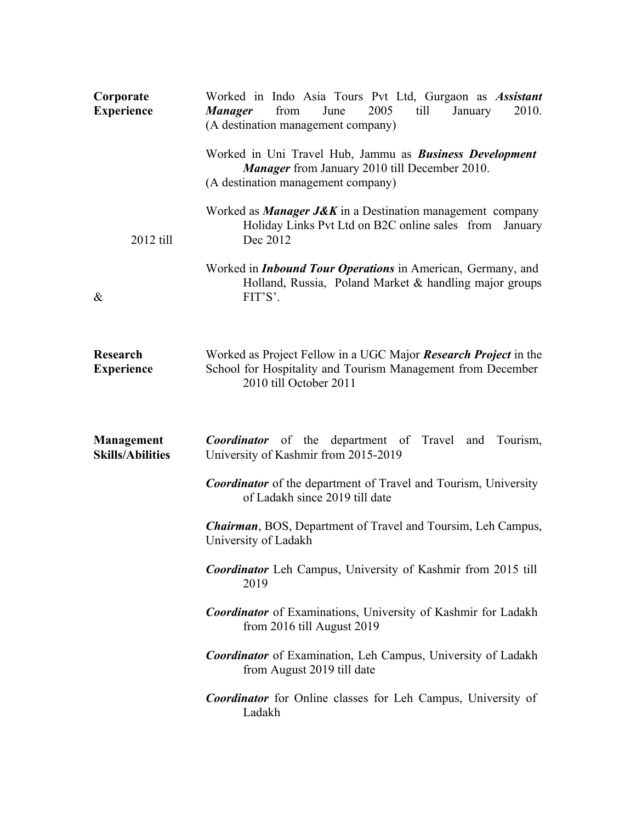| Corporate<br><b>Experience</b>               | Worked in Indo Asia Tours Pvt Ltd, Gurgaon as Assistant<br>2005<br>till<br>from<br>June<br>2010.<br><b>Manager</b><br>January<br>(A destination management company) |
|----------------------------------------------|---------------------------------------------------------------------------------------------------------------------------------------------------------------------|
|                                              | Worked in Uni Travel Hub, Jammu as Business Development<br><b>Manager</b> from January 2010 till December 2010.<br>(A destination management company)               |
| 2012 till                                    | Worked as <i>Manager J&amp;K</i> in a Destination management company<br>Holiday Links Pvt Ltd on B2C online sales from<br>January<br>Dec 2012                       |
| $\&$                                         | Worked in <i>Inbound Tour Operations</i> in American, Germany, and<br>Holland, Russia, Poland Market & handling major groups<br>FIT'S'.                             |
| Research<br><b>Experience</b>                | Worked as Project Fellow in a UGC Major <b>Research Project</b> in the<br>School for Hospitality and Tourism Management from December<br>2010 till October 2011     |
| <b>Management</b><br><b>Skills/Abilities</b> | <b>Coordinator</b> of the department of Travel<br>and Tourism,<br>University of Kashmir from 2015-2019                                                              |
|                                              | <b>Coordinator</b> of the department of Travel and Tourism, University<br>of Ladakh since 2019 till date                                                            |
|                                              | <b>Chairman</b> , BOS, Department of Travel and Toursim, Leh Campus,<br>University of Ladakh                                                                        |
|                                              | <b>Coordinator</b> Leh Campus, University of Kashmir from 2015 till<br>2019                                                                                         |
|                                              | <b>Coordinator</b> of Examinations, University of Kashmir for Ladakh<br>from 2016 till August 2019                                                                  |
|                                              | <b>Coordinator</b> of Examination, Leh Campus, University of Ladakh<br>from August 2019 till date                                                                   |
|                                              | <b>Coordinator</b> for Online classes for Leh Campus, University of<br>Ladakh                                                                                       |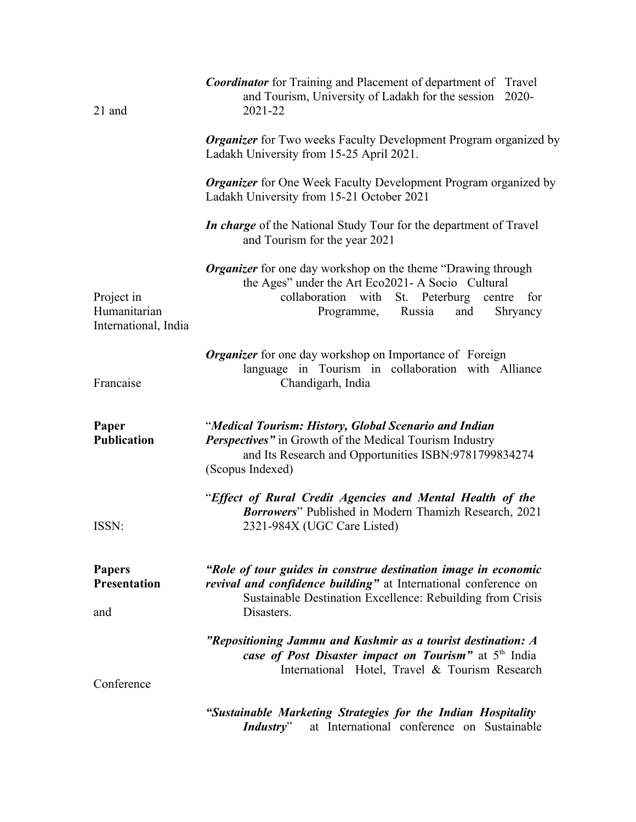| 21 and                                             | <b>Coordinator</b> for Training and Placement of department of Travel<br>and Tourism, University of Ladakh for the session<br>$2020 -$<br>2021-22                                                                              |
|----------------------------------------------------|--------------------------------------------------------------------------------------------------------------------------------------------------------------------------------------------------------------------------------|
|                                                    | <b>Organizer</b> for Two weeks Faculty Development Program organized by<br>Ladakh University from 15-25 April 2021.                                                                                                            |
|                                                    | <b>Organizer</b> for One Week Faculty Development Program organized by<br>Ladakh University from 15-21 October 2021                                                                                                            |
|                                                    | In charge of the National Study Tour for the department of Travel<br>and Tourism for the year 2021                                                                                                                             |
| Project in<br>Humanitarian<br>International, India | <b>Organizer</b> for one day workshop on the theme "Drawing through<br>the Ages" under the Art Eco2021- A Socio Cultural<br>with<br>collaboration<br>St. Peterburg<br>centre<br>for<br>Russia<br>Shryancy<br>and<br>Programme, |
| Francaise                                          | <b>Organizer</b> for one day workshop on Importance of Foreign<br>language in Tourism in collaboration with Alliance<br>Chandigarh, India                                                                                      |
| Paper<br><b>Publication</b>                        | "Medical Tourism: History, Global Scenario and Indian<br><b>Perspectives</b> " in Growth of the Medical Tourism Industry<br>and Its Research and Opportunities ISBN:9781799834274<br>(Scopus Indexed)                          |
| ISSN:                                              | "Effect of Rural Credit Agencies and Mental Health of the<br>Borrowers" Published in Modern Thamizh Research, 2021<br>2321-984X (UGC Care Listed)                                                                              |
| <b>Papers</b><br><b>Presentation</b><br>and        | "Role of tour guides in construe destination image in economic<br>revival and confidence building" at International conference on<br>Sustainable Destination Excellence: Rebuilding from Crisis<br>Disasters.                  |
| Conference                                         | "Repositioning Jammu and Kashmir as a tourist destination: A<br>case of Post Disaster impact on Tourism" at 5 <sup>th</sup> India<br>International Hotel, Travel & Tourism Research                                            |
|                                                    | "Sustainable Marketing Strategies for the Indian Hospitality                                                                                                                                                                   |